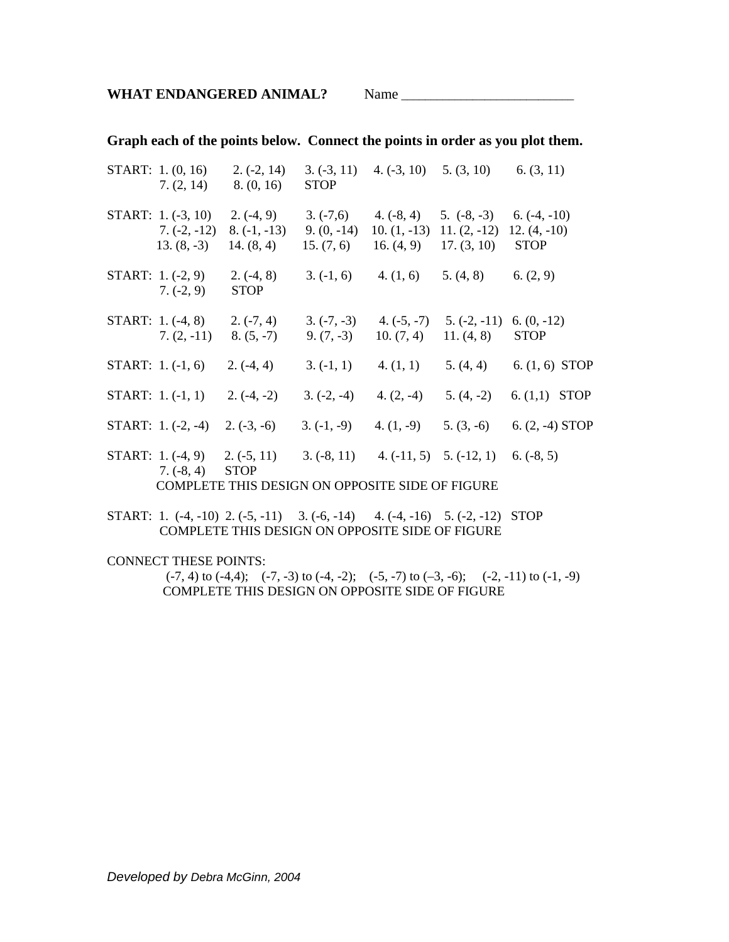**Graph each of the points below. Connect the points in order as you plot them.** 

|                                                 | START: 1. (0, 16)<br>7. (2, 14)            | $2.(-2, 14)$<br>8. (0, 16)                                  | $3. (-3, 11)$<br><b>STOP</b> |                                                                          | 4. $(-3, 10)$ 5. $(3, 10)$ 6. $(3, 11)$ |                                                 |
|-------------------------------------------------|--------------------------------------------|-------------------------------------------------------------|------------------------------|--------------------------------------------------------------------------|-----------------------------------------|-------------------------------------------------|
|                                                 | <b>START:</b> $1.(-3, 10)$<br>$7.(-2,-12)$ | $2.(-4, 9)$<br>$8. (-1, -13)$<br>$13. (8, -3)$ 14. $(8, 4)$ | $3. (-7,6)$<br>$9. (0, -14)$ | $4.(-8, 4)$<br>10. $(1, -13)$<br>15. $(7, 6)$ 16. $(4, 9)$ 17. $(3, 10)$ | $5. (-8, -3)$<br>$11. (2, -12)$         | $6. (-4, -10)$<br>$12. (4, -10)$<br><b>STOP</b> |
|                                                 | START: $1.(-2, 9)$<br>$7. (-2, 9)$         | $2.(-4, 8)$<br><b>STOP</b>                                  | $3. (-1, 6)$                 | 4. (1, 6)                                                                | 5. (4, 8)                               | 6. (2, 9)                                       |
|                                                 | START: $1.(-4, 8)$<br>$7. (2, -11)$        | $2.(-7, 4)$<br>$8. (5, -7)$                                 | $9. (7, -3)$                 | $3. (-7, -3)$ 4. $(-5, -7)$<br>10. $(7, 4)$                              | $5. (-2, -11)$<br>11. $(4, 8)$          | $6. (0, -12)$<br><b>STOP</b>                    |
|                                                 | START: $1. (-1, 6)$                        | $2.(-4, 4)$                                                 | $3. (-1, 1)$                 | 4. (1, 1)                                                                | 5. (4, 4)                               | 6. $(1, 6)$ STOP                                |
|                                                 | START: $1.(-1, 1)$                         | $2.(-4,-2)$                                                 | $3. (-2, -4)$                | 4. $(2, -4)$                                                             | $5. (4, -2)$                            | 6. $(1,1)$ STOP                                 |
|                                                 | START: $1.(-2, -4)$                        | $2. (-3, -6)$                                               | $3. (-1, -9)$                | 4. $(1, -9)$                                                             | $5. (3, -6)$                            | 6. $(2, -4)$ STOP                               |
|                                                 | <b>START:</b> $1.(-4, 9)$<br>$7.(-8, 4)$   | $2.(-5, 11)$<br><b>STOP</b>                                 | $3.(-8, 11)$                 |                                                                          | 4. $(-11, 5)$ 5. $(-12, 1)$             | $6. (-8, 5)$                                    |
| COMPLETE THIS DESIGN ON OPPOSITE SIDE OF FIGURE |                                            |                                                             |                              |                                                                          |                                         |                                                 |

START: 1. (-4, -10) 2. (-5, -11) 3. (-6, -14) 4. (-4, -16) 5. (-2, -12) STOP COMPLETE THIS DESIGN ON OPPOSITE SIDE OF FIGURE

CONNECT THESE POINTS:

 $(-7, 4)$  to  $(-4, 4)$ ;  $(-7, -3)$  to  $(-4, -2)$ ;  $(-5, -7)$  to  $(-3, -6)$ ;  $(-2, -11)$  to  $(-1, -9)$ COMPLETE THIS DESIGN ON OPPOSITE SIDE OF FIGURE